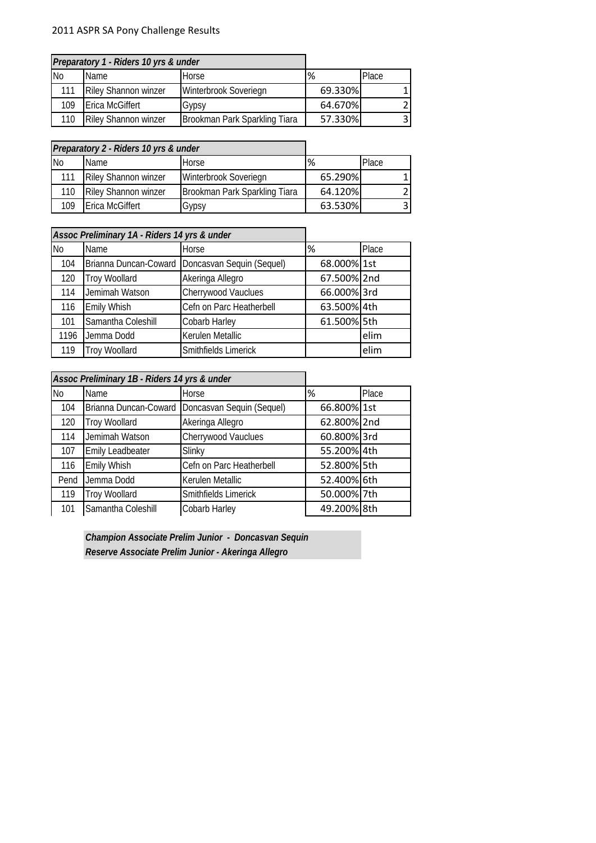## 2011 ASPR SA Pony Challenge Results

|     | Preparatory 1 - Riders 10 yrs & under |                               |         |       |
|-----|---------------------------------------|-------------------------------|---------|-------|
| No  | <b>Name</b>                           | Horse                         | %       | Place |
| 111 | <b>Riley Shannon winzer</b>           | Winterbrook Soveriegn         | 69.330% |       |
| 109 | <b>Erica McGiffert</b>                | Gypsy                         | 64.670% |       |
| 110 | <b>Riley Shannon winzer</b>           | Brookman Park Sparkling Tiara | 57.330% |       |

|           | Preparatory 2 - Riders 10 yrs & under |                               |         |       |
|-----------|---------------------------------------|-------------------------------|---------|-------|
| <b>No</b> | <b>Name</b>                           | Horse                         | %       | Place |
| 111       | <b>Riley Shannon winzer</b>           | Winterbrook Soveriegn         | 65.290% |       |
| 110       | <b>Riley Shannon winzer</b>           | Brookman Park Sparkling Tiara | 64.120% |       |
| 109       | <b>Erica McGiffert</b>                | Gypsy                         | 63.530% |       |

|           | Assoc Preliminary 1A - Riders 14 yrs & under |                                                   |             |       |
|-----------|----------------------------------------------|---------------------------------------------------|-------------|-------|
| <b>No</b> | Name                                         | Horse                                             | %           | Place |
| 104       |                                              | Brianna Duncan-Coward   Doncasvan Sequin (Sequel) | 68.000% 1st |       |
| 120       | <b>Troy Woollard</b>                         | Akeringa Allegro                                  | 67.500% 2nd |       |
| 114       | Jemimah Watson                               | Cherrywood Vauclues                               | 66.000% 3rd |       |
| 116       | <b>Emily Whish</b>                           | Cefn on Parc Heatherbell                          | 63.500% 4th |       |
| 101       | Samantha Coleshill                           | Cobarb Harley                                     | 61.500% 5th |       |
| 1196      | Jemma Dodd                                   | Kerulen Metallic                                  |             | elim  |
| 119       | <b>Troy Woollard</b>                         | Smithfields Limerick                              |             | elim  |

|           | Assoc Preliminary 1B - Riders 14 yrs & under |                           |             |       |
|-----------|----------------------------------------------|---------------------------|-------------|-------|
| <b>No</b> | Name                                         | Horse                     | %           | Place |
| 104       | Brianna Duncan-Coward                        | Doncasvan Sequin (Sequel) | 66.800% 1st |       |
| 120       | <b>Troy Woollard</b>                         | Akeringa Allegro          | 62.800% 2nd |       |
| 114       | Jemimah Watson                               | Cherrywood Vauclues       | 60.800%3rd  |       |
| 107       | <b>Emily Leadbeater</b>                      | Slinky                    | 55.200% 4th |       |
| 116       | Emily Whish                                  | Cefn on Parc Heatherbell  | 52.800% 5th |       |
| Pend      | Jemma Dodd                                   | Kerulen Metallic          | 52.400% 6th |       |
| 119       | <b>Troy Woollard</b>                         | Smithfields Limerick      | 50.000% 7th |       |
| 101       | Samantha Coleshill                           | Cobarb Harley             | 49.200% 8th |       |

*Champion Associate Prelim Junior - Doncasvan Sequin Reserve Associate Prelim Junior - Akeringa Allegro*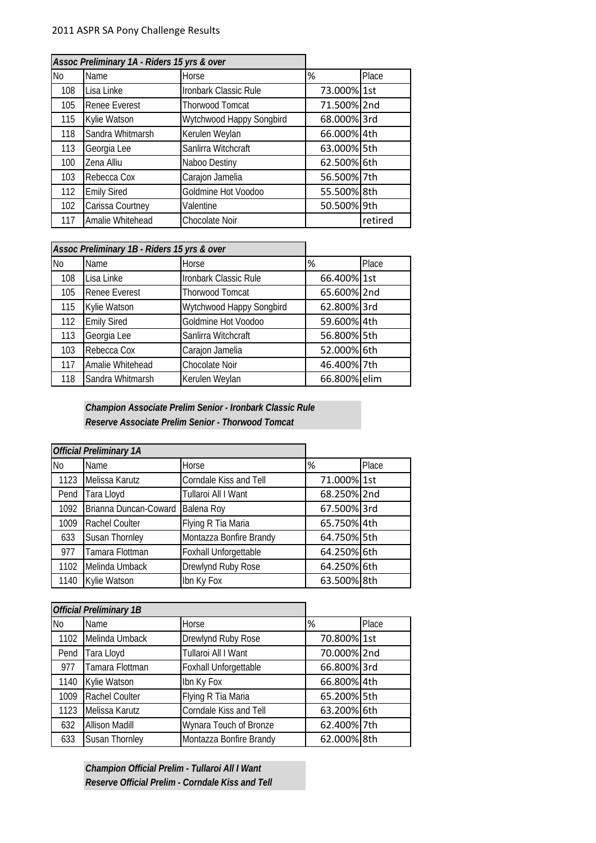|     | Assoc Preliminary 1A - Riders 15 yrs & over |                          |             |         |
|-----|---------------------------------------------|--------------------------|-------------|---------|
| No  | Name                                        | Horse                    | %           | Place   |
| 108 | Lisa Linke                                  | Ironbark Classic Rule    | 73.000% 1st |         |
| 105 | <b>Renee Everest</b>                        | <b>Thorwood Tomcat</b>   | 71.500% 2nd |         |
| 115 | Kylie Watson                                | Wytchwood Happy Songbird | 68.000% 3rd |         |
| 118 | Sandra Whitmarsh                            | Kerulen Weylan           | 66.000% 4th |         |
| 113 | Georgia Lee                                 | Sanlirra Witchcraft      | 63.000% 5th |         |
| 100 | Zena Alliu                                  | Naboo Destiny            | 62.500% 6th |         |
| 103 | Rebecca Cox                                 | Carajon Jamelia          | 56.500% 7th |         |
| 112 | <b>Emily Sired</b>                          | Goldmine Hot Voodoo      | 55.500% 8th |         |
| 102 | Carissa Courtney                            | Valentine                | 50.500% 9th |         |
| 117 | Amalie Whitehead                            | Chocolate Noir           |             | retired |

|     | Assoc Preliminary 1B - Riders 15 yrs & over |                          |              |       |
|-----|---------------------------------------------|--------------------------|--------------|-------|
| No  | Name                                        | Horse                    | %            | Place |
| 108 | Lisa Linke                                  | Ironbark Classic Rule    | 66.400% 1st  |       |
| 105 | <b>Renee Everest</b>                        | <b>Thorwood Tomcat</b>   | 65.600% 2nd  |       |
| 115 | Kylie Watson                                | Wytchwood Happy Songbird | 62.800% 3rd  |       |
| 112 | <b>Emily Sired</b>                          | Goldmine Hot Voodoo      | 59.600% 4th  |       |
| 113 | Georgia Lee                                 | Sanlirra Witchcraft      | 56.800% 5th  |       |
| 103 | Rebecca Cox                                 | Carajon Jamelia          | 52.000% 6th  |       |
| 117 | Amalie Whitehead                            | Chocolate Noir           | 46.400% 7th  |       |
| 118 | Sandra Whitmarsh                            | Kerulen Weylan           | 66.800% elim |       |

*Champion Associate Prelim Senior - Ironbark Classic Rule Reserve Associate Prelim Senior - Thorwood Tomcat*

|           | <b>Official Preliminary 1A</b> |                         |             |       |
|-----------|--------------------------------|-------------------------|-------------|-------|
| <b>No</b> | Name                           | Horse                   | %           | Place |
| 1123      | Melissa Karutz                 | Corndale Kiss and Tell  | 71.000% 1st |       |
| Pend      | Tara Lloyd                     | Tullaroi All I Want     | 68.250% 2nd |       |
| 1092      | Brianna Duncan-Coward          | Balena Roy              | 67.500% 3rd |       |
| 1009      | Rachel Coulter                 | Flying R Tia Maria      | 65.750% 4th |       |
| 633       | Susan Thornley                 | Montazza Bonfire Brandy | 64.750% 5th |       |
| 977       | Tamara Flottman                | Foxhall Unforgettable   | 64.250% 6th |       |
| 1102      | Melinda Umback                 | Drewlynd Ruby Rose      | 64.250% 6th |       |
| 1140      | Kylie Watson                   | Ibn Ky Fox              | 63.500% 8th |       |

|           | <b>Official Preliminary 1B</b> |                         |             |       |
|-----------|--------------------------------|-------------------------|-------------|-------|
| <b>No</b> | Name                           | Horse                   | %           | Place |
| 1102      | Melinda Umback                 | Drewlynd Ruby Rose      | 70.800% 1st |       |
| Pend      | Tara Lloyd                     | Tullaroi All I Want     | 70.000% 2nd |       |
| 977       | Tamara Flottman                | Foxhall Unforgettable   | 66.800% 3rd |       |
| 1140      | Kylie Watson                   | Ibn Ky Fox              | 66.800% 4th |       |
| 1009      | Rachel Coulter                 | Flying R Tia Maria      | 65.200% 5th |       |
| 1123      | Melissa Karutz                 | Corndale Kiss and Tell  | 63.200% 6th |       |
| 632       | <b>Allison Madill</b>          | Wynara Touch of Bronze  | 62.400% 7th |       |
| 633       | Susan Thornley                 | Montazza Bonfire Brandy | 62.000% 8th |       |

*Champion Official Prelim - Tullaroi All I Want Reserve Official Prelim - Corndale Kiss and Tell*